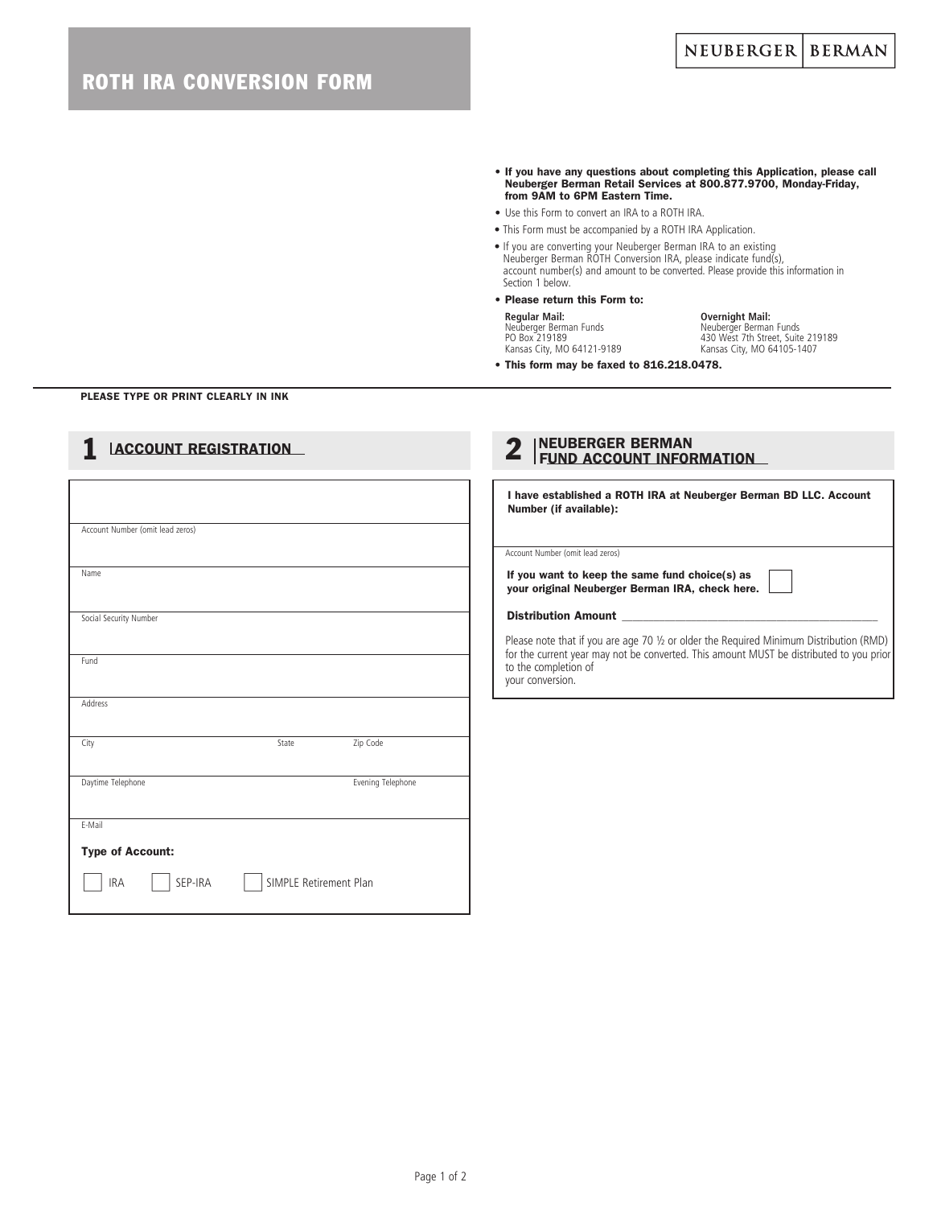- If you have any questions about completing this Application, please call Neuberger Berman Retail Services at 800.877.9700, Monday-Friday, from 9AM to 6PM Eastern Time.
- Use this Form to convert an IRA to a ROTH IRA.
- This Form must be accompanied by a ROTH IRA Application.
- If you are converting your Neuberger Berman IRA to an existing Neuberger Berman ROTH Conversion IRA, please indicate fund(s), account number(s) and amount to be converted. Please provide this information in Section 1 below.

## • Please return this Form to: **Regular Mail: Overnight Mail:**

Neuberger Berman Funds Neuberger Berman Funds PO Box 219189 430 West 7th Street, Suite 219189 Kansas City, MO 64121-9189 Kansas City, MO 64105-1407

• This form may be faxed to 816.218.0478.

#### PLEASE TYPE OR PRINT CLEARLY IN INK

| <b>ACCOUNT REGISTRATION</b>      |                        |                   | NEUBERGER BERMAN<br>FUND ACCOUNT INFORMATION<br>9                                                                                   |  |  |  |  |
|----------------------------------|------------------------|-------------------|-------------------------------------------------------------------------------------------------------------------------------------|--|--|--|--|
|                                  |                        |                   | I have established a ROTH IRA at Neuberger Berman BD LLC. Account<br>Number (if available):                                         |  |  |  |  |
| Account Number (omit lead zeros) |                        |                   |                                                                                                                                     |  |  |  |  |
|                                  |                        |                   | Account Number (omit lead zeros)                                                                                                    |  |  |  |  |
| Name                             |                        |                   | If you want to keep the same fund choice(s) as<br>your original Neuberger Berman IRA, check here.                                   |  |  |  |  |
| Social Security Number           |                        |                   | <b>Distribution Amount</b>                                                                                                          |  |  |  |  |
|                                  |                        |                   | Please note that if you are age 70 1/2 or older the Required Minimum Distribution (RMD)                                             |  |  |  |  |
| Fund                             |                        |                   | for the current year may not be converted. This amount MUST be distributed to you prior<br>to the completion of<br>your conversion. |  |  |  |  |
| Address                          |                        |                   |                                                                                                                                     |  |  |  |  |
| City                             | State                  | Zip Code          |                                                                                                                                     |  |  |  |  |
| Daytime Telephone                |                        | Evening Telephone |                                                                                                                                     |  |  |  |  |
| E-Mail                           |                        |                   |                                                                                                                                     |  |  |  |  |
| <b>Type of Account:</b>          |                        |                   |                                                                                                                                     |  |  |  |  |
| <b>IRA</b><br>SEP-IRA            | SIMPLE Retirement Plan |                   |                                                                                                                                     |  |  |  |  |